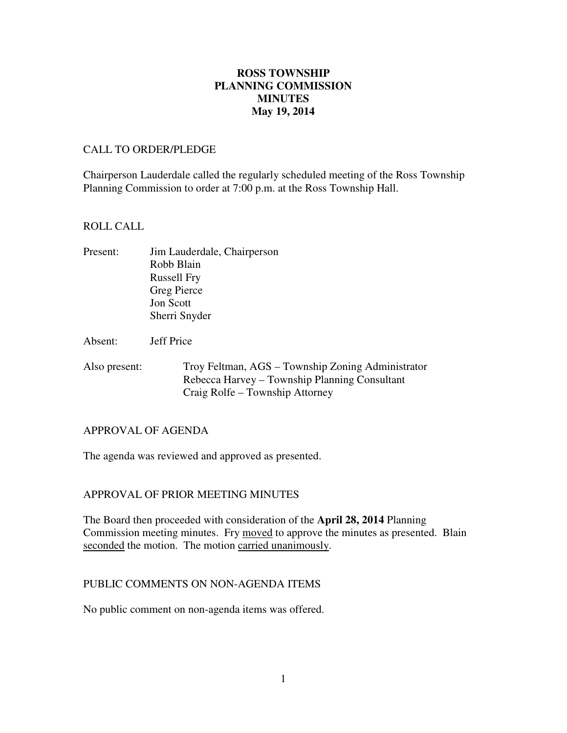# **May 19, 2014 ROSS TOWNSHIP PLANNING COMMISSION MINUTES**

# CALL TO ORDER/PLEDGE

 Chairperson Lauderdale called the regularly scheduled meeting of the Ross Township Planning Commission to order at 7:00 p.m. at the Ross Township Hall.

# ROLL CALL

- Present: Jim Lauderdale, Chairperson Robb Blain Russell Fry Greg Pierce Jon Scott Sherri Snyder
- Absent: Jeff Price
- Also present: Troy Feltman, AGS – Township Zoning Administrator Rebecca Harvey – Township Planning Consultant Craig Rolfe – Township Attorney

## APPROVAL OF AGENDA

The agenda was reviewed and approved as presented.

# APPROVAL OF PRIOR MEETING MINUTES

 The Board then proceeded with consideration of the **April 28, 2014** Planning Commission meeting minutes. Fry moved to approve the minutes as presented. Blain seconded the motion. The motion carried unanimously.

## PUBLIC COMMENTS ON NON-AGENDA ITEMS

No public comment on non-agenda items was offered.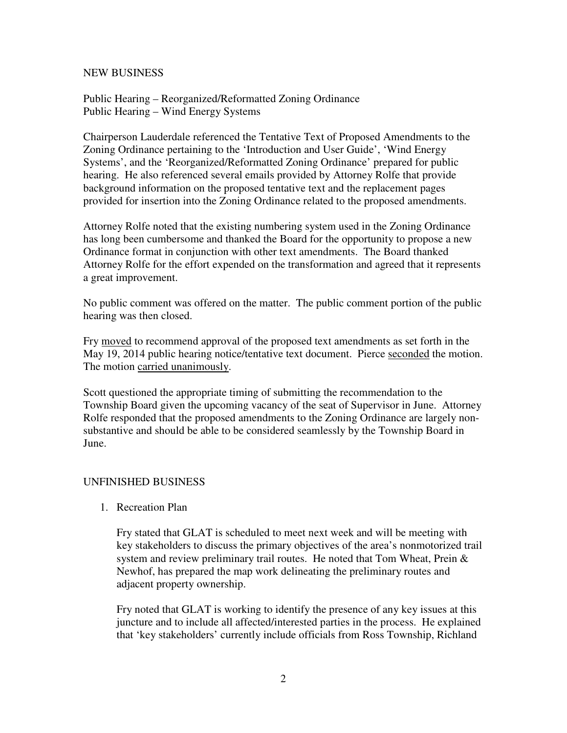# NEW BUSINESS

 Public Hearing – Reorganized/Reformatted Zoning Ordinance Public Hearing – Wind Energy Systems

 Chairperson Lauderdale referenced the Tentative Text of Proposed Amendments to the Zoning Ordinance pertaining to the 'Introduction and User Guide', 'Wind Energy Systems', and the 'Reorganized/Reformatted Zoning Ordinance' prepared for public hearing. He also referenced several emails provided by Attorney Rolfe that provide background information on the proposed tentative text and the replacement pages provided for insertion into the Zoning Ordinance related to the proposed amendments.

 Attorney Rolfe noted that the existing numbering system used in the Zoning Ordinance has long been cumbersome and thanked the Board for the opportunity to propose a new Ordinance format in conjunction with other text amendments. The Board thanked Attorney Rolfe for the effort expended on the transformation and agreed that it represents a great improvement.

 No public comment was offered on the matter. The public comment portion of the public hearing was then closed.

Fry moved to recommend approval of the proposed text amendments as set forth in the May 19, 2014 public hearing notice/tentative text document. Pierce seconded the motion. The motion carried unanimously.

 Scott questioned the appropriate timing of submitting the recommendation to the Township Board given the upcoming vacancy of the seat of Supervisor in June. Attorney Rolfe responded that the proposed amendments to the Zoning Ordinance are largely non- substantive and should be able to be considered seamlessly by the Township Board in June.

# UNFINISHED BUSINESS

1. Recreation Plan

 Fry stated that GLAT is scheduled to meet next week and will be meeting with key stakeholders to discuss the primary objectives of the area's nonmotorized trail system and review preliminary trail routes. He noted that Tom Wheat, Prein & Newhof, has prepared the map work delineating the preliminary routes and adjacent property ownership.

 Fry noted that GLAT is working to identify the presence of any key issues at this juncture and to include all affected/interested parties in the process. He explained that 'key stakeholders' currently include officials from Ross Township, Richland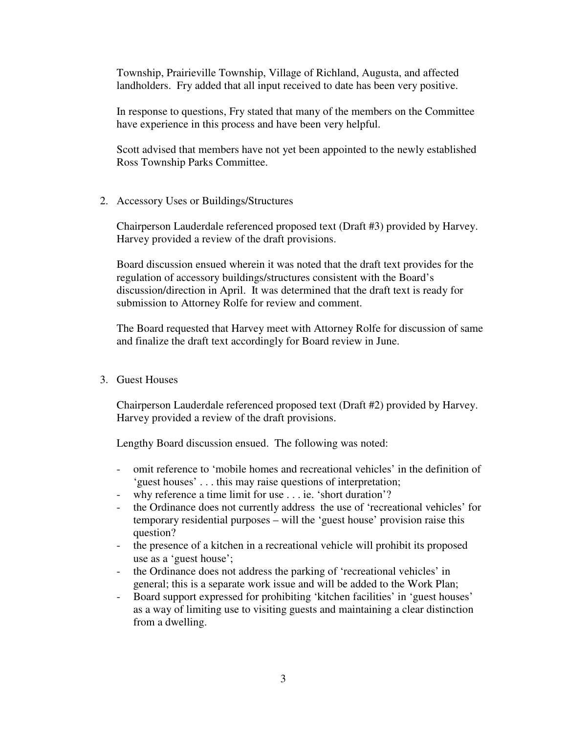Township, Prairieville Township, Village of Richland, Augusta, and affected landholders. Fry added that all input received to date has been very positive.

 In response to questions, Fry stated that many of the members on the Committee have experience in this process and have been very helpful.

 Scott advised that members have not yet been appointed to the newly established Ross Township Parks Committee.

2. Accessory Uses or Buildings/Structures

 Chairperson Lauderdale referenced proposed text (Draft #3) provided by Harvey. Harvey provided a review of the draft provisions.

 Board discussion ensued wherein it was noted that the draft text provides for the regulation of accessory buildings/structures consistent with the Board's discussion/direction in April. It was determined that the draft text is ready for submission to Attorney Rolfe for review and comment.

 The Board requested that Harvey meet with Attorney Rolfe for discussion of same and finalize the draft text accordingly for Board review in June.

3. Guest Houses

 Chairperson Lauderdale referenced proposed text (Draft #2) provided by Harvey. Harvey provided a review of the draft provisions.

Lengthy Board discussion ensued. The following was noted:

- - omit reference to 'mobile homes and recreational vehicles' in the definition of 'guest houses' . . . this may raise questions of interpretation;
- why reference a time limit for use . . . ie. 'short duration'?
- - the Ordinance does not currently address the use of 'recreational vehicles' for temporary residential purposes – will the 'guest house' provision raise this question?
- - the presence of a kitchen in a recreational vehicle will prohibit its proposed use as a 'guest house';
- the Ordinance does not address the parking of 'recreational vehicles' in general; this is a separate work issue and will be added to the Work Plan;
- - Board support expressed for prohibiting 'kitchen facilities' in 'guest houses' as a way of limiting use to visiting guests and maintaining a clear distinction from a dwelling.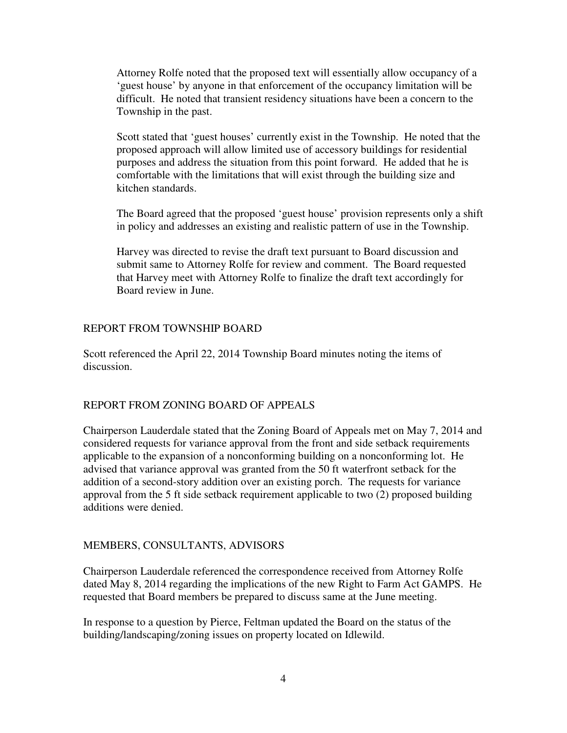Attorney Rolfe noted that the proposed text will essentially allow occupancy of a 'guest house' by anyone in that enforcement of the occupancy limitation will be difficult. He noted that transient residency situations have been a concern to the Township in the past.

 Scott stated that 'guest houses' currently exist in the Township. He noted that the proposed approach will allow limited use of accessory buildings for residential purposes and address the situation from this point forward. He added that he is comfortable with the limitations that will exist through the building size and kitchen standards.

 The Board agreed that the proposed 'guest house' provision represents only a shift in policy and addresses an existing and realistic pattern of use in the Township.

 Harvey was directed to revise the draft text pursuant to Board discussion and submit same to Attorney Rolfe for review and comment. The Board requested that Harvey meet with Attorney Rolfe to finalize the draft text accordingly for Board review in June.

#### REPORT FROM TOWNSHIP BOARD

 Scott referenced the April 22, 2014 Township Board minutes noting the items of discussion.

#### REPORT FROM ZONING BOARD OF APPEALS

 Chairperson Lauderdale stated that the Zoning Board of Appeals met on May 7, 2014 and considered requests for variance approval from the front and side setback requirements applicable to the expansion of a nonconforming building on a nonconforming lot. He advised that variance approval was granted from the 50 ft waterfront setback for the addition of a second-story addition over an existing porch. The requests for variance approval from the 5 ft side setback requirement applicable to two (2) proposed building additions were denied.

#### MEMBERS, CONSULTANTS, ADVISORS

 Chairperson Lauderdale referenced the correspondence received from Attorney Rolfe dated May 8, 2014 regarding the implications of the new Right to Farm Act GAMPS. He requested that Board members be prepared to discuss same at the June meeting.

 In response to a question by Pierce, Feltman updated the Board on the status of the building/landscaping/zoning issues on property located on Idlewild.